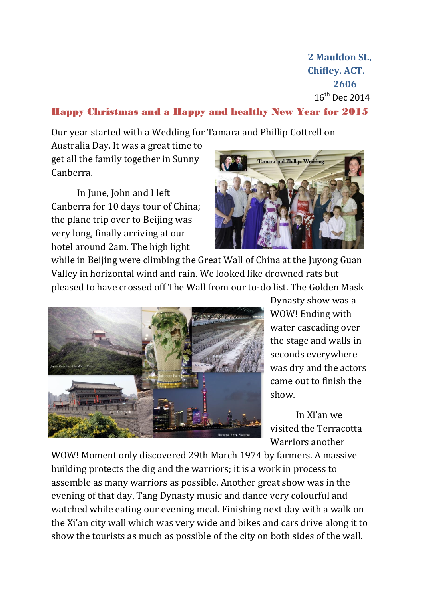**2 Mauldon St., Chifley. ACT. 2606** 16th Dec 2014

## Happy Christmas and a Happy and healthy New Year for 2015

Our year started with a Wedding for Tamara and Phillip Cottrell on

Australia Day. It was a great time to get all the family together in Sunny Canberra.

In June, John and I left Canberra for 10 days tour of China; the plane trip over to Beijing was very long, finally arriving at our hotel around 2am. The high light



while in Beijing were climbing the Great Wall of China at the Juyong Guan Valley in horizontal wind and rain. We looked like drowned rats but pleased to have crossed off The Wall from our to-do list. The Golden Mask



Dynasty show was a WOW! Ending with water cascading over the stage and walls in seconds everywhere was dry and the actors came out to finish the show.

In Xi'an we visited the Terracotta Warriors another

WOW! Moment only discovered 29th March 1974 by farmers. A massive building protects the dig and the warriors; it is a work in process to assemble as many warriors as possible. Another great show was in the evening of that day, Tang Dynasty music and dance very colourful and watched while eating our evening meal. Finishing next day with a walk on the Xi'an city wall which was very wide and bikes and cars drive along it to show the tourists as much as possible of the city on both sides of the wall.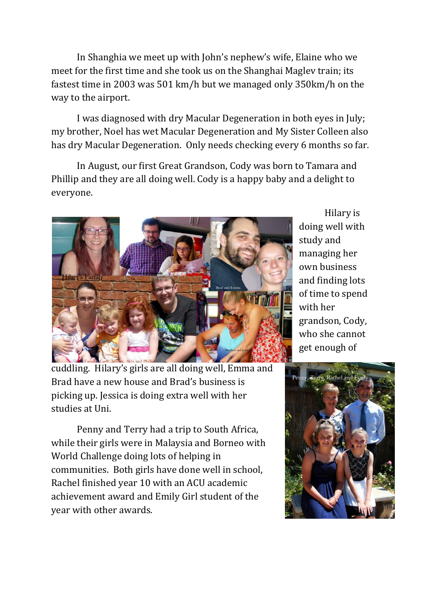In Shanghia we meet up with John's nephew's wife, Elaine who we meet for the first time and she took us on the Shanghai Maglev train; its fastest time in 2003 was 501 km/h but we managed only 350km/h on the way to the airport.

I was diagnosed with dry Macular Degeneration in both eyes in July; my brother, Noel has wet Macular Degeneration and My Sister Colleen also has dry Macular Degeneration. Only needs checking every 6 months so far.

In August, our first Great Grandson, Cody was born to Tamara and Phillip and they are all doing well. Cody is a happy baby and a delight to everyone.



cuddling. Hilary's girls are all doing well, Emma and Brad have a new house and Brad's business is picking up. Jessica is doing extra well with her studies at Uni.

Penny and Terry had a trip to South Africa, while their girls were in Malaysia and Borneo with World Challenge doing lots of helping in communities. Both girls have done well in school, Rachel finished year 10 with an ACU academic achievement award and Emily Girl student of the year with other awards.

Hilary is doing well with study and managing her own business and finding lots of time to spend with her grandson, Cody, who she cannot get enough of